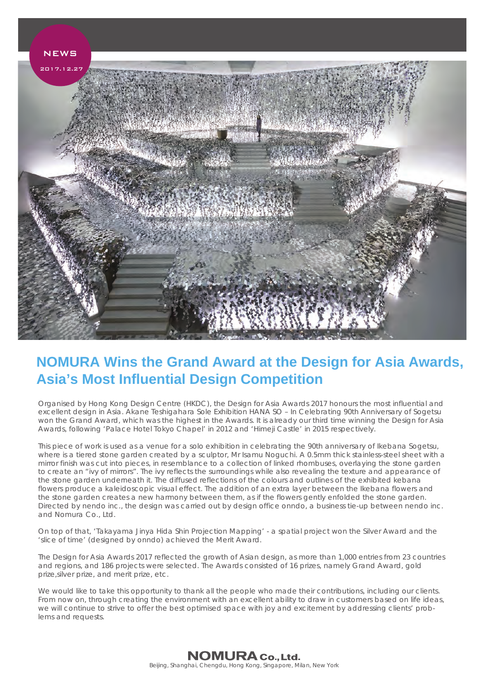

## **NOMURA Wins the Grand Award at the Design for Asia Awards, Asia's Most Influential Design Competition**

Organised by Hong Kong Design Centre (HKDC), the Design for Asia Awards 2017 honours the most influential and excellent design in Asia. Akane Teshigahara Sole Exhibition HANA SO – In Celebrating 90th Anniversary of Sogetsu won the Grand Award, which was the highest in the Awards. It is already our third time winning the Design for Asia Awards, following 'Palace Hotel Tokyo Chapel' in 2012 and 'Himeji Castle' in 2015 respectively.

This piece of work is used as a venue for a solo exhibition in celebrating the 90th anniversary of Ikebana Sogetsu, where is a tiered stone garden created by a sculptor, Mr Isamu Noguchi. A 0.5mm thick stainless-steel sheet with a mirror finish was cut into pieces, in resemblance to a collection of linked rhombuses, overlaying the stone garden to create an "ivy of mirrors". The ivy reflects the surroundings while also revealing the texture and appearance of the stone garden underneath it. The diffused reflections of the colours and outlines of the exhibited kebana flowers produce a kaleidoscopic visual effect. The addition of an extra layer between the Ikebana flowers and the stone garden creates a new harmony between them, as if the flowers gently enfolded the stone garden. Directed by nendo inc., the design was carried out by design office onndo, a business tie-up between nendo inc. and Nomura Co., Ltd.

On top of that, 'Takayama Jinya Hida Shin Projection Mapping' - a spatial project won the Silver Award and the 'slice of time' (designed by onndo) achieved the Merit Award.

The Design for Asia Awards 2017 reflected the growth of Asian design, as more than 1,000 entries from 23 countries and regions, and 186 projects were selected. The Awards consisted of 16 prizes, namely Grand Award, gold prize,silver prize, and merit prize, etc.

We would like to take this opportunity to thank all the people who made their contributions, including our clients. From now on, through creating the environment with an excellent ability to draw in customers based on life ideas, we will continue to strive to offer the best optimised space with joy and excitement by addressing clients' problems and requests.